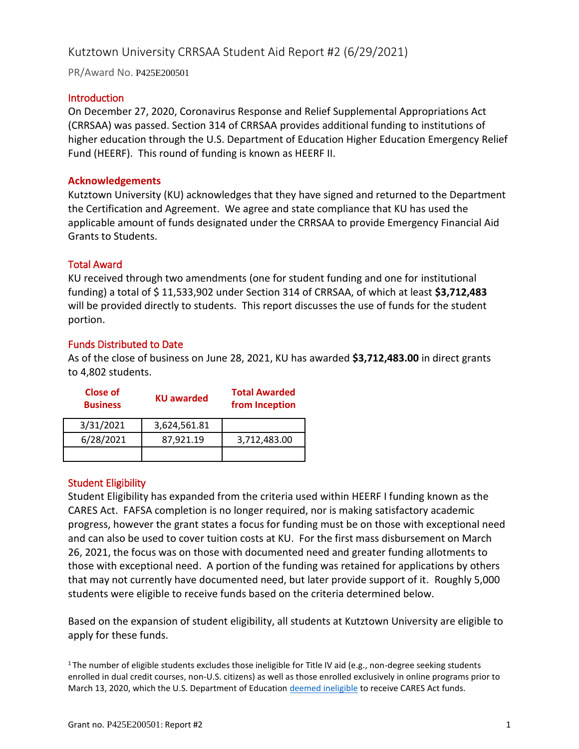# Kutztown University CRRSAA Student Aid Report #2 (6/29/2021)

PR/Award No. P425E200501

#### **Introduction**

On December 27, 2020, Coronavirus Response and Relief Supplemental Appropriations Act (CRRSAA) was passed. Section 314 of CRRSAA provides additional funding to institutions of higher education through the U.S. Department of Education Higher Education Emergency Relief Fund (HEERF). This round of funding is known as HEERF II.

#### **Acknowledgements**

Kutztown University (KU) acknowledges that they have signed and returned to the Department the Certification and Agreement. We agree and state compliance that KU has used the applicable amount of funds designated under the CRRSAA to provide Emergency Financial Aid Grants to Students.

## Total Award

KU received through two amendments (one for student funding and one for institutional funding) a total of \$ 11,533,902 under Section 314 of CRRSAA, of which at least **\$3,712,483** will be provided directly to students. This report discusses the use of funds for the student portion.

#### Funds Distributed to Date

As of the close of business on June 28, 2021, KU has awarded **\$3,712,483.00** in direct grants to 4,802 students.

| Close of<br><b>Business</b> | <b>KU</b> awarded | <b>Total Awarded</b><br>from Inception |
|-----------------------------|-------------------|----------------------------------------|
| 3/31/2021                   | 3,624,561.81      |                                        |
| 6/28/2021                   | 87,921.19         | 3,712,483.00                           |
|                             |                   |                                        |

## Student Eligibility

Student Eligibility has expanded from the criteria used within HEERF I funding known as the CARES Act. FAFSA completion is no longer required, nor is making satisfactory academic progress, however the grant states a focus for funding must be on those with exceptional need and can also be used to cover tuition costs at KU. For the first mass disbursement on March 26, 2021, the focus was on those with documented need and greater funding allotments to those with exceptional need. A portion of the funding was retained for applications by others that may not currently have documented need, but later provide support of it. Roughly 5,000 students were eligible to receive funds based on the criteria determined below.

Based on the expansion of student eligibility, all students at Kutztown University are eligible to apply for these funds.

<sup>1</sup>The number of eligible students excludes those ineligible for Title IV aid (e.g., non-degree seeking students enrolled in dual credit courses, non-U.S. citizens) as well as those enrolled exclusively in online programs prior to March 13, 2020, which the U.S. Department of Education [deemed ineligible](https://www2.ed.gov/about/offices/list/ope/heerfstudentfaqs.pdf) to receive CARES Act funds.